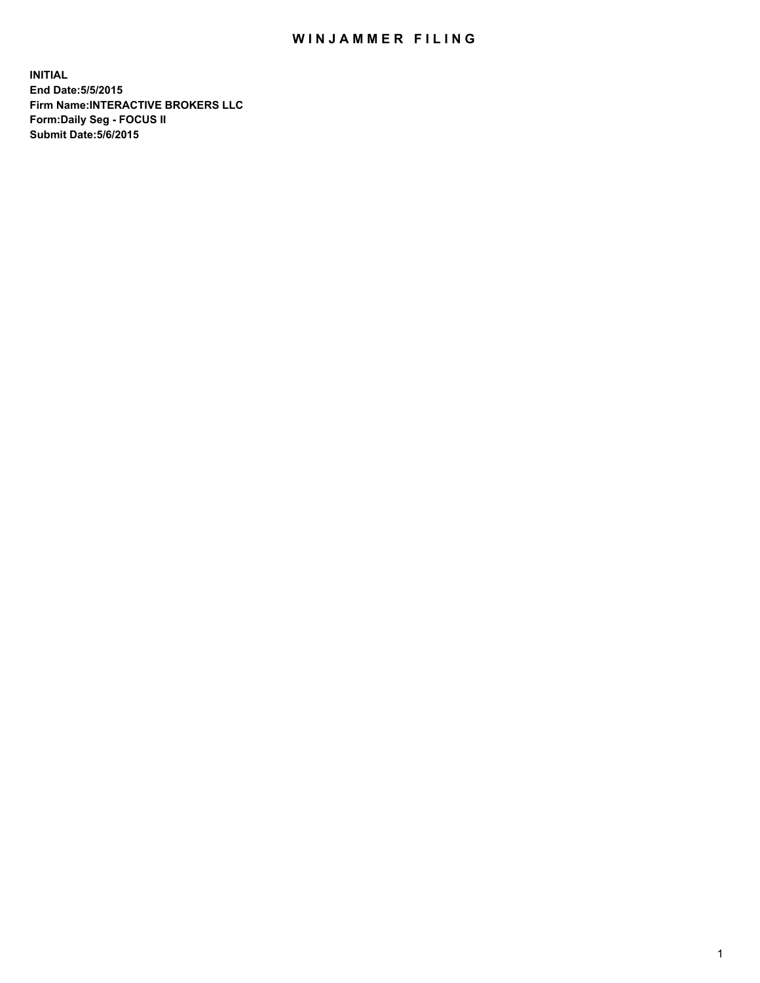## WIN JAMMER FILING

**INITIAL End Date:5/5/2015 Firm Name:INTERACTIVE BROKERS LLC Form:Daily Seg - FOCUS II Submit Date:5/6/2015**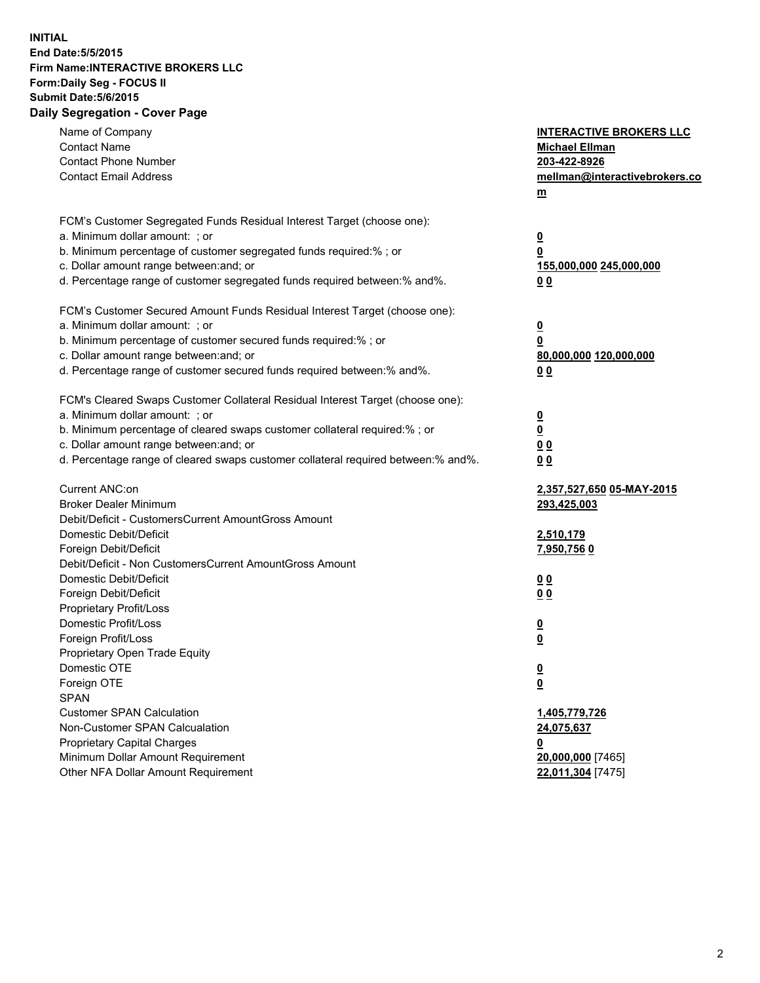## **INITIAL End Date:5/5/2015 Firm Name:INTERACTIVE BROKERS LLC Form:Daily Seg - FOCUS II Submit Date:5/6/2015 Daily Segregation - Cover Page**

| Name of Company<br><b>Contact Name</b>                                            | <b>INTERACTIVE BROKERS LLC</b><br><b>Michael Ellman</b> |
|-----------------------------------------------------------------------------------|---------------------------------------------------------|
| <b>Contact Phone Number</b>                                                       | 203-422-8926                                            |
| <b>Contact Email Address</b>                                                      | mellman@interactivebrokers.co                           |
|                                                                                   | $\underline{\mathbf{m}}$                                |
|                                                                                   |                                                         |
| FCM's Customer Segregated Funds Residual Interest Target (choose one):            |                                                         |
| a. Minimum dollar amount: ; or                                                    | $\overline{\mathbf{0}}$                                 |
| b. Minimum percentage of customer segregated funds required:% ; or                | 0                                                       |
| c. Dollar amount range between: and; or                                           | 155,000,000 245,000,000                                 |
| d. Percentage range of customer segregated funds required between:% and%.         | 00                                                      |
| FCM's Customer Secured Amount Funds Residual Interest Target (choose one):        |                                                         |
| a. Minimum dollar amount: ; or                                                    | $\overline{\mathbf{0}}$                                 |
| b. Minimum percentage of customer secured funds required:% ; or                   | 0                                                       |
| c. Dollar amount range between: and; or                                           | 80,000,000 120,000,000                                  |
| d. Percentage range of customer secured funds required between:% and%.            | 00                                                      |
|                                                                                   |                                                         |
| FCM's Cleared Swaps Customer Collateral Residual Interest Target (choose one):    |                                                         |
| a. Minimum dollar amount: ; or                                                    | $\overline{\mathbf{0}}$                                 |
| b. Minimum percentage of cleared swaps customer collateral required:% ; or        | $\overline{\mathbf{0}}$                                 |
| c. Dollar amount range between: and; or                                           | 0 <sub>0</sub>                                          |
| d. Percentage range of cleared swaps customer collateral required between:% and%. | 0 <sub>0</sub>                                          |
|                                                                                   |                                                         |
| Current ANC:on                                                                    | 2,357,527,650 05-MAY-2015                               |
| <b>Broker Dealer Minimum</b>                                                      | 293,425,003                                             |
| Debit/Deficit - CustomersCurrent AmountGross Amount                               |                                                         |
| Domestic Debit/Deficit                                                            | 2,510,179                                               |
| Foreign Debit/Deficit                                                             | <u>7,950,7560</u>                                       |
| Debit/Deficit - Non CustomersCurrent AmountGross Amount                           |                                                         |
| Domestic Debit/Deficit                                                            | 0 <sub>0</sub>                                          |
| Foreign Debit/Deficit                                                             | 0 <sub>0</sub>                                          |
| Proprietary Profit/Loss                                                           |                                                         |
| Domestic Profit/Loss                                                              | $\overline{\mathbf{0}}$                                 |
| Foreign Profit/Loss                                                               | $\underline{\mathbf{0}}$                                |
| Proprietary Open Trade Equity                                                     |                                                         |
| Domestic OTE                                                                      | <u>0</u>                                                |
| Foreign OTE                                                                       | <u>0</u>                                                |
| <b>SPAN</b>                                                                       |                                                         |
| <b>Customer SPAN Calculation</b>                                                  | 1,405,779,726                                           |
| Non-Customer SPAN Calcualation                                                    | 24,075,637                                              |
| Proprietary Capital Charges                                                       | 0                                                       |
| Minimum Dollar Amount Requirement                                                 | 20,000,000 [7465]                                       |
| Other NFA Dollar Amount Requirement                                               | 22,011,304 [7475]                                       |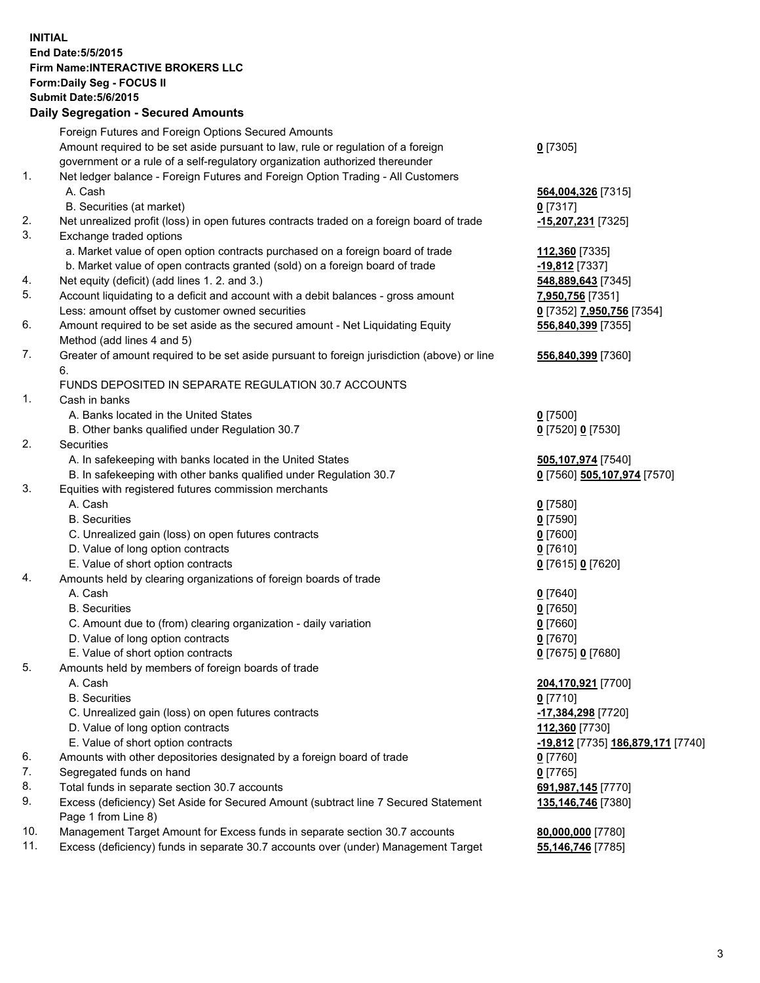## **INITIAL End Date:5/5/2015 Firm Name:INTERACTIVE BROKERS LLC Form:Daily Seg - FOCUS II Submit Date:5/6/2015 Daily Segregation - Secured Amounts**

|     | Foreign Futures and Foreign Options Secured Amounts                                         |                                   |
|-----|---------------------------------------------------------------------------------------------|-----------------------------------|
|     | Amount required to be set aside pursuant to law, rule or regulation of a foreign            | $0$ [7305]                        |
|     | government or a rule of a self-regulatory organization authorized thereunder                |                                   |
| 1.  | Net ledger balance - Foreign Futures and Foreign Option Trading - All Customers             |                                   |
|     | A. Cash                                                                                     | 564,004,326 [7315]                |
|     | B. Securities (at market)                                                                   | $0$ [7317]                        |
| 2.  | Net unrealized profit (loss) in open futures contracts traded on a foreign board of trade   | -15,207,231 [7325]                |
| 3.  | Exchange traded options                                                                     |                                   |
|     | a. Market value of open option contracts purchased on a foreign board of trade              | 112,360 [7335]                    |
|     | b. Market value of open contracts granted (sold) on a foreign board of trade                | -19,812 [7337]                    |
| 4.  | Net equity (deficit) (add lines 1. 2. and 3.)                                               | 548,889,643 [7345]                |
| 5.  | Account liquidating to a deficit and account with a debit balances - gross amount           | 7,950,756 [7351]                  |
|     | Less: amount offset by customer owned securities                                            |                                   |
| 6.  |                                                                                             | 0 [7352] 7,950,756 [7354]         |
|     | Amount required to be set aside as the secured amount - Net Liquidating Equity              | 556,840,399 [7355]                |
|     | Method (add lines 4 and 5)                                                                  |                                   |
| 7.  | Greater of amount required to be set aside pursuant to foreign jurisdiction (above) or line | 556,840,399 [7360]                |
|     | 6.                                                                                          |                                   |
|     | FUNDS DEPOSITED IN SEPARATE REGULATION 30.7 ACCOUNTS                                        |                                   |
| 1.  | Cash in banks                                                                               |                                   |
|     | A. Banks located in the United States                                                       | $0$ [7500]                        |
|     | B. Other banks qualified under Regulation 30.7                                              | 0 [7520] 0 [7530]                 |
| 2.  | Securities                                                                                  |                                   |
|     | A. In safekeeping with banks located in the United States                                   | 505,107,974 [7540]                |
|     | B. In safekeeping with other banks qualified under Regulation 30.7                          | 0 [7560] 505,107,974 [7570]       |
| 3.  | Equities with registered futures commission merchants                                       |                                   |
|     | A. Cash                                                                                     | $0$ [7580]                        |
|     | <b>B.</b> Securities                                                                        | $0$ [7590]                        |
|     | C. Unrealized gain (loss) on open futures contracts                                         | $0$ [7600]                        |
|     | D. Value of long option contracts                                                           | $0$ [7610]                        |
|     | E. Value of short option contracts                                                          | 0 [7615] 0 [7620]                 |
| 4.  | Amounts held by clearing organizations of foreign boards of trade                           |                                   |
|     | A. Cash                                                                                     | $0$ [7640]                        |
|     | <b>B.</b> Securities                                                                        | $0$ [7650]                        |
|     |                                                                                             |                                   |
|     | C. Amount due to (from) clearing organization - daily variation                             | $0$ [7660]                        |
|     | D. Value of long option contracts                                                           | $0$ [7670]                        |
|     | E. Value of short option contracts                                                          | 0 [7675] 0 [7680]                 |
| 5.  | Amounts held by members of foreign boards of trade                                          |                                   |
|     | A. Cash                                                                                     | 204,170,921 [7700]                |
|     | <b>B.</b> Securities                                                                        | $0$ [7710]                        |
|     | C. Unrealized gain (loss) on open futures contracts                                         | -17,384,298 [7720]                |
|     | D. Value of long option contracts                                                           | 112,360 [7730]                    |
|     | E. Value of short option contracts                                                          | -19,812 [7735] 186,879,171 [7740] |
| 6.  | Amounts with other depositories designated by a foreign board of trade                      | $0$ [7760]                        |
| 7.  | Segregated funds on hand                                                                    | $0$ [7765]                        |
| 8.  | Total funds in separate section 30.7 accounts                                               | 691,987,145 [7770]                |
| 9.  | Excess (deficiency) Set Aside for Secured Amount (subtract line 7 Secured Statement         | 135,146,746 [7380]                |
|     | Page 1 from Line 8)                                                                         |                                   |
| 10. | Management Target Amount for Excess funds in separate section 30.7 accounts                 | 80,000,000 [7780]                 |
| 11. | Excess (deficiency) funds in separate 30.7 accounts over (under) Management Target          | 55,146,746 [7785]                 |
|     |                                                                                             |                                   |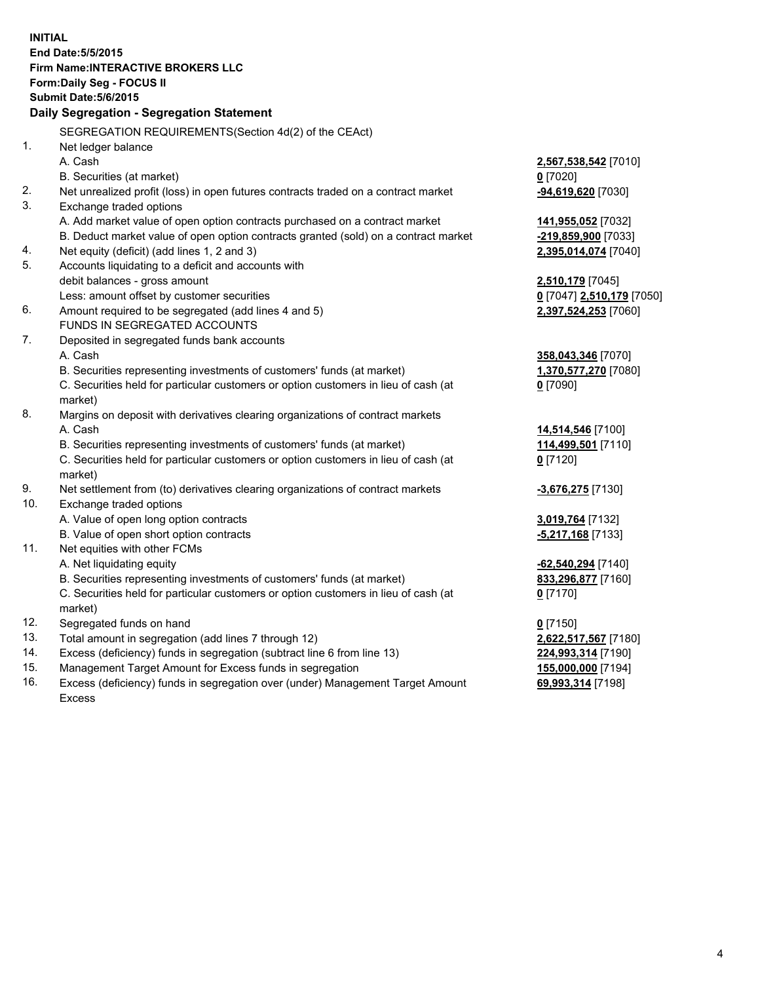**INITIAL End Date:5/5/2015 Firm Name:INTERACTIVE BROKERS LLC Form:Daily Seg - FOCUS II Submit Date:5/6/2015 Daily Segregation - Segregation Statement** SEGREGATION REQUIREMENTS(Section 4d(2) of the CEAct) 1. Net ledger balance A. Cash **2,567,538,542** [7010] B. Securities (at market) **0** [7020] 2. Net unrealized profit (loss) in open futures contracts traded on a contract market **-94,619,620** [7030] 3. Exchange traded options A. Add market value of open option contracts purchased on a contract market **141,955,052** [7032] B. Deduct market value of open option contracts granted (sold) on a contract market **-219,859,900** [7033] 4. Net equity (deficit) (add lines 1, 2 and 3) **2,395,014,074** [7040] 5. Accounts liquidating to a deficit and accounts with debit balances - gross amount **2,510,179** [7045] Less: amount offset by customer securities **0** [7047] **2,510,179** [7050] 6. Amount required to be segregated (add lines 4 and 5) **2,397,524,253** [7060] FUNDS IN SEGREGATED ACCOUNTS 7. Deposited in segregated funds bank accounts A. Cash **358,043,346** [7070] B. Securities representing investments of customers' funds (at market) **1,370,577,270** [7080] C. Securities held for particular customers or option customers in lieu of cash (at market) **0** [7090] 8. Margins on deposit with derivatives clearing organizations of contract markets A. Cash **14,514,546** [7100] B. Securities representing investments of customers' funds (at market) **114,499,501** [7110] C. Securities held for particular customers or option customers in lieu of cash (at market) **0** [7120] 9. Net settlement from (to) derivatives clearing organizations of contract markets **-3,676,275** [7130] 10. Exchange traded options A. Value of open long option contracts **3,019,764** [7132] B. Value of open short option contracts **-5,217,168** [7133] 11. Net equities with other FCMs A. Net liquidating equity **-62,540,294** [7140] B. Securities representing investments of customers' funds (at market) **833,296,877** [7160] C. Securities held for particular customers or option customers in lieu of cash (at market) **0** [7170] 12. Segregated funds on hand **0** [7150] 13. Total amount in segregation (add lines 7 through 12) **2,622,517,567** [7180] 14. Excess (deficiency) funds in segregation (subtract line 6 from line 13) **224,993,314** [7190] 15. Management Target Amount for Excess funds in segregation **155,000,000** [7194]

16. Excess (deficiency) funds in segregation over (under) Management Target Amount Excess

**69,993,314** [7198]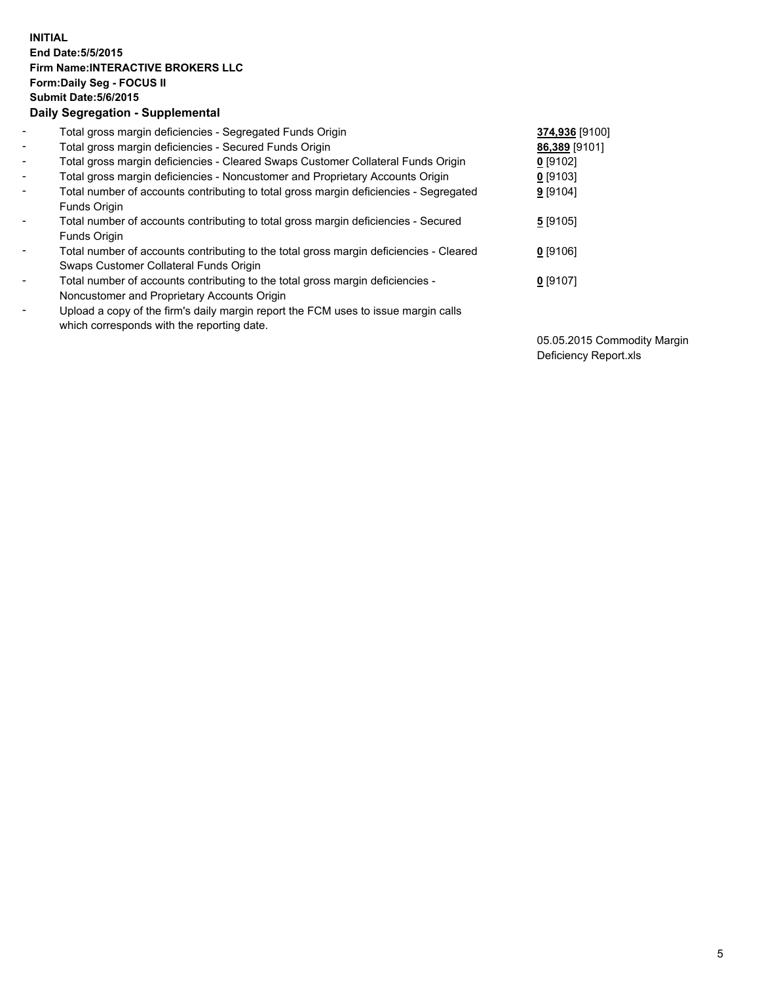## **INITIAL End Date:5/5/2015 Firm Name:INTERACTIVE BROKERS LLC Form:Daily Seg - FOCUS II Submit Date:5/6/2015 Daily Segregation - Supplemental**

| $\overline{\phantom{a}}$ | Total gross margin deficiencies - Segregated Funds Origin                                                                        | 374,936 [9100] |
|--------------------------|----------------------------------------------------------------------------------------------------------------------------------|----------------|
| $\blacksquare$           | Total gross margin deficiencies - Secured Funds Origin                                                                           | 86,389 [9101]  |
| $\blacksquare$           | Total gross margin deficiencies - Cleared Swaps Customer Collateral Funds Origin                                                 | 0 [9102]       |
| $\blacksquare$           | Total gross margin deficiencies - Noncustomer and Proprietary Accounts Origin                                                    | $0$ [9103]     |
| $\blacksquare$           | Total number of accounts contributing to total gross margin deficiencies - Segregated<br>Funds Origin                            | 9[9104]        |
| $\overline{\phantom{a}}$ | Total number of accounts contributing to total gross margin deficiencies - Secured<br>Funds Origin                               | 5[9105]        |
| $\overline{\phantom{a}}$ | Total number of accounts contributing to the total gross margin deficiencies - Cleared<br>Swaps Customer Collateral Funds Origin | $0$ [9106]     |
| $\overline{\phantom{a}}$ | Total number of accounts contributing to the total gross margin deficiencies -<br>Noncustomer and Proprietary Accounts Origin    | $0$ [9107]     |
| $\overline{\phantom{a}}$ | Upload a copy of the firm's daily margin report the FCM uses to issue margin calls<br>which corresponds with the reporting date. |                |

05.05.2015 Commodity Margin Deficiency Report.xls